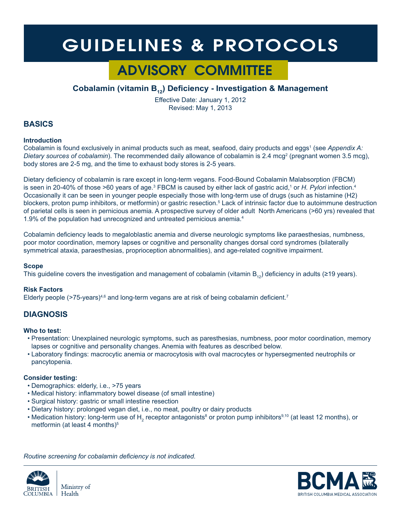# GUIDELINES & PROTOCOLS

# ADVISORY COMMITTEE

# **Cobalamin (vitamin B12) Deficiency - Investigation & Management**

Effective Date: January 1, 2012 Revised: May 1, 2013

### **BASICS**

#### **Introduction**

Cobalamin is found exclusively in animal products such as meat, seafood, dairy products and eggs<sup>1</sup> (see Appendix A: Dietary sources of cobalamin). The recommended daily allowance of cobalamin is 2.4 mcg<sup>2</sup> (pregnant women 3.5 mcg), body stores are 2-5 mg, and the time to exhaust body stores is 2-5 years.

Dietary deficiency of cobalamin is rare except in long-term vegans. Food-Bound Cobalamin Malabsorption (FBCM) is seen in 20-40% of those >60 years of age.<sup>3</sup> FBCM is caused by either lack of gastric acid,<sup>1</sup> or *H. Pylori* infection.<sup>4</sup> Occasionally it can be seen in younger people especially those with long-term use of drugs (such as histamine (H2) blockers, proton pump inhibitors, or metformin) or gastric resection.<sup>5</sup> Lack of intrinsic factor due to autoimmune destruction of parietal cells is seen in pernicious anemia. A prospective survey of older adult North Americans (>60 yrs) revealed that 1.9% of the population had unrecognized and untreated pernicious anemia.<sup>4</sup>

Cobalamin deficiency leads to megaloblastic anemia and diverse neurologic symptoms like paraesthesias, numbness, poor motor coordination, memory lapses or cognitive and personality changes dorsal cord syndromes (bilaterally symmetrical ataxia, paraesthesias, proprioception abnormalities), and age-related cognitive impairment.

#### **Scope**

This guideline covers the investigation and management of cobalamin (vitamin  $B_{12}$ ) deficiency in adults (≥19 years).

#### **Risk Factors**

Elderly people ( $>75$ -years)<sup>4,6</sup> and long-term vegans are at risk of being cobalamin deficient.<sup>7</sup>

## **DIAGNOSIS**

#### **Who to test:**

- Presentation: Unexplained neurologic symptoms, such as paresthesias, numbness, poor motor coordination, memory lapses or cognitive and personality changes. Anemia with features as described below.
- Laboratory findings: macrocytic anemia or macrocytosis with oval macrocytes or hypersegmented neutrophils or pancytopenia.

#### **Consider testing:**

- Demographics: elderly, i.e., >75 years
- Medical history: inflammatory bowel disease (of small intestine)
- Surgical history: gastric or small intestine resection
- Dietary history: prolonged vegan diet, i.e., no meat, poultry or dairy products
- Medication history: long-term use of  $\mathsf{H}_{_2}$  receptor antagonists<sup>8</sup> or proton pump inhibitors<sup>9,10</sup> (at least 12 months), or metformin (at least 4 months)<sup>5</sup>

*Routine screening for cobalamin deficiency is not indicated.*





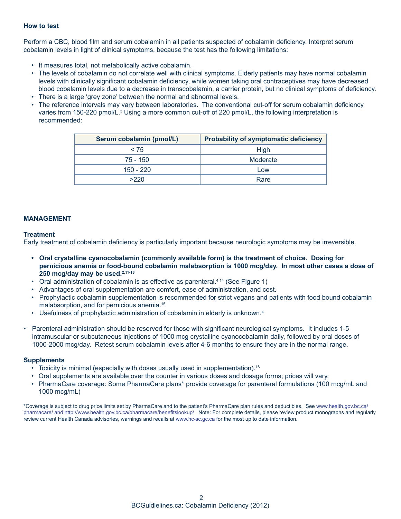#### **How to test**

Perform a CBC, blood film and serum cobalamin in all patients suspected of cobalamin deficiency. Interpret serum cobalamin levels in light of clinical symptoms, because the test has the following limitations:

- It measures total, not metabolically active cobalamin.
- The levels of cobalamin do not correlate well with clinical symptoms. Elderly patients may have normal cobalamin levels with clinically significant cobalamin deficiency, while women taking oral contraceptives may have decreased blood cobalamin levels due to a decrease in transcobalamin, a carrier protein, but no clinical symptoms of deficiency.
- There is a large 'grey zone' between the normal and abnormal levels.
- The reference intervals may vary between laboratories. The conventional cut-off for serum cobalamin deficiency varies from 150-220 pmol/L.<sup>3</sup> Using a more common cut-off of 220 pmol/L, the following interpretation is recommended:

| Serum cobalamin (pmol/L) | <b>Probability of symptomatic deficiency</b> |
|--------------------------|----------------------------------------------|
| < 75                     | High                                         |
| 75 - 150                 | Moderate                                     |
| $150 - 220$              | Low                                          |
| >220                     | Rare                                         |

#### **MANAGEMENT**

#### **Treatment**

Early treatment of cobalamin deficiency is particularly important because neurologic symptoms may be irreversible.

- **• Oral crystalline cyanocobalamin (commonly available form) is the treatment of choice. Dosing for pernicious anemia or food-bound cobalamin malabsorption is 1000 mcg/day. In most other cases a dose of 250 mcg/day may be used.2,11-13**
- Oral administration of cobalamin is as effective as parenteral.<sup>4,14</sup> (See Figure 1)
- Advantages of oral supplementation are comfort, ease of administration, and cost.
- Prophylactic cobalamin supplementation is recommended for strict vegans and patients with food bound cobalamin malabsorption, and for pernicious anemia.15
- Usefulness of prophylactic administration of cobalamin in elderly is unknown.<sup>4</sup>
- Parenteral administration should be reserved for those with significant neurological symptoms. It includes 1-5 intramuscular or subcutaneous injections of 1000 mcg crystalline cyanocobalamin daily, followed by oral doses of 1000-2000 mcg/day. Retest serum cobalamin levels after 4-6 months to ensure they are in the normal range.

#### **Supplements**

- Toxicity is minimal (especially with doses usually used in supplementation).<sup>16</sup>
- Oral supplements are available over the counter in various doses and dosage forms; prices will vary.
- PharmaCare coverage: Some PharmaCare plans\* provide coverage for parenteral formulations (100 mcg/mL and 1000 mcg/mL)

\*Coverage is subject to drug price limits set by PharmaCare and to the patient's PharmaCare plan rules and deductibles. See www.health.gov.bc.ca/ pharmacare/ and http://www.health.gov.bc.ca/pharmacare/benefitslookup/ Note: For complete details, please review product monographs and regularly review current Health Canada advisories, warnings and recalls at www.hc-sc.gc.ca for the most up to date information.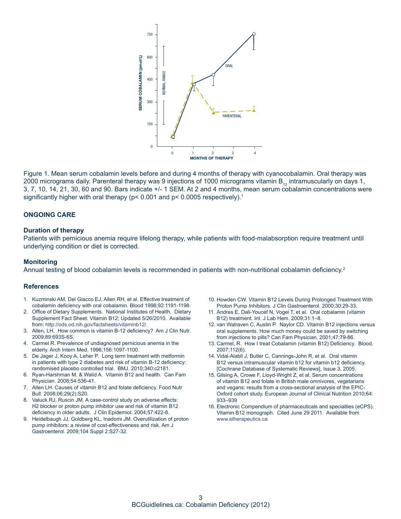

Figure 1. Mean serum cobalamin levels before and during 4 months of therapy with cyanocobalamin. Oral therapy was 2000 micrograms daily. Parenteral therapy was 9 injections of 1000 micrograms vitamin  $B_{12}$  intramuscularly on days 1, 3, 7, 10, 14, 21, 30, 60 and 90. Bars indicate +/- 1 SEM. At 2 and 4 months, mean serum cobalamin concentrations were significantly higher with oral therapy (p< 0.001 and p< 0.0005 respectively).<sup>1</sup>

#### **ONGOING CARE**

#### **Duration of therapy**

Patients with pernicious anemia require lifelong therapy, while patients with food-malabsorption require treatment until underlying condition or diet is corrected.

#### **Monitoring**

Annual testing of blood cobalamin levels is recommended in patients with non-nutritional cobalamin deficiency.<sup>2</sup>

#### **References**

- 1. Kuzminski AM, Del Giacco EJ, Allen RH, et al. Effective treatment of cobalamin deficiency with oral cobalamin. Blood 1998;92:1191-1198.
- 2. Office of Dietary Supplements. National Institutes of Health. Dietary Supplement Fact Sheet: Vitamin B12; Updated 5/26/2010. Available from: http://ods.od.nih.gov/factsheets/vitaminb12/.
- 3. Allen, LH. How common is vitamin B-12 deficiency? Am J Clin Nutr. 2009;89:693S-6S.
- 4. Carmel R. Prevalence of undiagnosed pernicious anemia in the elderly. Arch Intern Med. 1996;156:1097-1100.
- 5. De Jager J, Kooy A, Leher P. Long term treatment with metformin in patients with type 2 diabetes and risk of vitamin B-12 deficiency: randomised placebo controlled trial. BMJ. 2010;340:c2181.
- 6. Ryan-Harshman M. & Walid A. Vitamin B12 and health. Can Fam Physician. 2008;54:536-41.
- 7. Allen LH. Causes of vitamin B12 and folate deficiency. Food Nutr Bull. 2008;06;29(2):S20.
- 8. Valuck RJ, Ruscin JM. A case-control study on adverse effects: H2 blocker or proton pump inhibitor use and risk of vitamin B12 deficiency in older adults. J Clin Epidemiol. 2004;57:422-8.
- 9. Heidelbaugh JJ, Goldberg KL, Inadomi JM. Overutilization of proton pump inhibitors: a review of cost-effectiveness and risk. Am J Gastroenterol. 2009;104 Suppl 2:S27-32.
- 10. Howden CW. Vitamin B12 Levels During Prolonged Treatment With Proton Pump Inhibitors. J Clin Gastroenterol. 2000;30:29-33.
- 11. Andres E, Dali-Youcef N, Vogel T, et al. Oral cobalamin (vitamin B12) treatment. Int. J Lab Hem. 2009;31:1–8.
- 12. van Walraven C, Austin P. Naylor CD. Vitamin B12 injections versus oral supplements. How much money could be saved by switching from injections to pills? Can Fam Physician. 2001;47:79-86.
- 13. Carmel, R. How I treat Cobalamin (vitamin B12) Deficiency. Blood. 2007;112(6).
- 14. Vidal-Alabll J, Butler C, Cannings-John R, et al. Oral vitamin B12 versus intramuscular vitamin b12 for vitamin b12 deficiency. [Cochrane Database of Systematic Reviews], Issue 3, 2005.
- 15. Gilsing A, Crowe F, Lloyd-Wright Z, et al. Serum concentrations of vitamin B12 and folate in British male omnivores, vegetarians and vegans: results from a cross-sectional analysis of the EPIC-Oxford cohort study. European Journal of Clinical Nutrition 2010;64: 933–939
- 16. Electronic Compendium of pharmaceuticals and specialties (eCPS). Vitamin B12 monograph. Cited June 29 2011. Available from www.etherapeutics.ca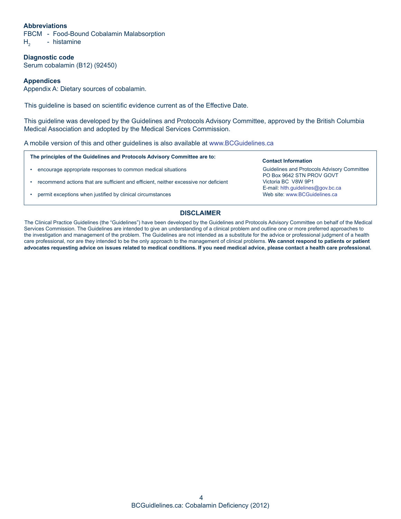#### **Abbreviations**

FBCM - Food-Bound Cobalamin Malabsorption  $H<sub>2</sub>$  - histamine

**Diagnostic code** Serum cobalamin (B12) (92450)

#### **Appendices**

Appendix A: Dietary sources of cobalamin.

This guideline is based on scientific evidence current as of the Effective Date.

This guideline was developed by the Guidelines and Protocols Advisory Committee, approved by the British Columbia Medical Association and adopted by the Medical Services Commission.

A mobile version of this and other guidelines is also available at www.BCGuidelines.ca

**The principles of the Guidelines and Protocols Advisory Committee are to:**

- encourage appropriate responses to common medical situations
- recommend actions that are sufficient and efficient, neither excessive nor deficient
- permit exceptions when justified by clinical circumstances

#### **Contact Information**

Guidelines and Protocols Advisory Committee PO Box 9642 STN PROV GOVT Victoria BC V8W 9P1 E-mail: hlth.guidelines@gov.bc.ca Web site: www.BCGuidelines.ca

#### **DISCLAIMER**

The Clinical Practice Guidelines (the "Guidelines") have been developed by the Guidelines and Protocols Advisory Committee on behalf of the Medical Services Commission. The Guidelines are intended to give an understanding of a clinical problem and outline one or more preferred approaches to the investigation and management of the problem. The Guidelines are not intended as a substitute for the advice or professional judgment of a health care professional, nor are they intended to be the only approach to the management of clinical problems. **We cannot respond to patients or patient advocates requesting advice on issues related to medical conditions. If you need medical advice, please contact a health care professional.**